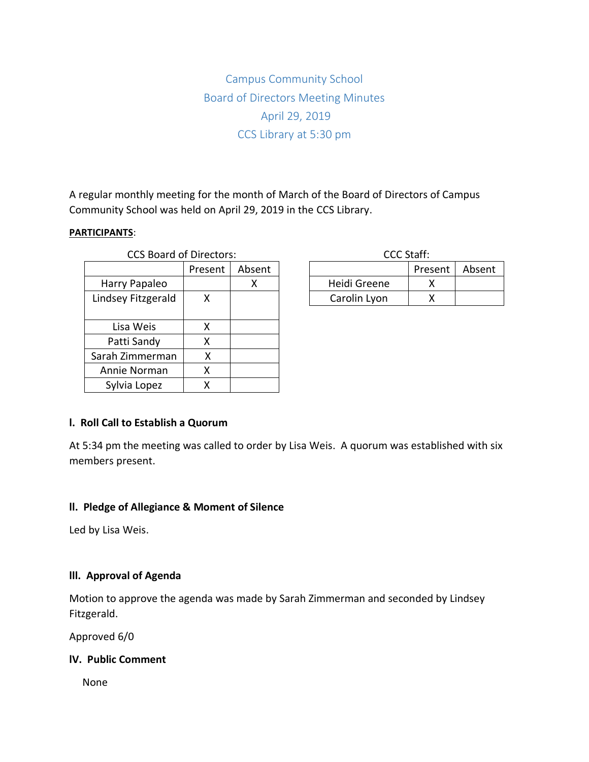Campus Community School Board of Directors Meeting Minutes April 29, 2019 CCS Library at 5:30 pm

A regular monthly meeting for the month of March of the Board of Directors of Campus Community School was held on April 29, 2019 in the CCS Library.

#### **PARTICIPANTS**:

| <b>CCS Board of Directors:</b> |         |        | <b>CCC Staff:</b> |     |
|--------------------------------|---------|--------|-------------------|-----|
|                                | Present | Absent |                   | Pre |
| Harry Papaleo                  |         | X      | Heidi Greene      |     |
| Lindsey Fitzgerald             | X       |        | Carolin Lyon      |     |
|                                |         |        |                   |     |
| Lisa Weis                      | x       |        |                   |     |
| Patti Sandy                    | χ       |        |                   |     |
| Sarah Zimmerman                | χ       |        |                   |     |
| Annie Norman                   | Χ       |        |                   |     |
| Sylvia Lopez                   | x       |        |                   |     |

| CCC Staff:   |                  |  |  |  |  |
|--------------|------------------|--|--|--|--|
|              | Present   Absent |  |  |  |  |
| Heidi Greene |                  |  |  |  |  |
| Carolin Lyon |                  |  |  |  |  |

### **l. Roll Call to Establish a Quorum**

At 5:34 pm the meeting was called to order by Lisa Weis. A quorum was established with six members present.

#### **ll. Pledge of Allegiance & Moment of Silence**

Led by Lisa Weis.

### **lll. Approval of Agenda**

Motion to approve the agenda was made by Sarah Zimmerman and seconded by Lindsey Fitzgerald.

Approved 6/0

### **lV. Public Comment**

None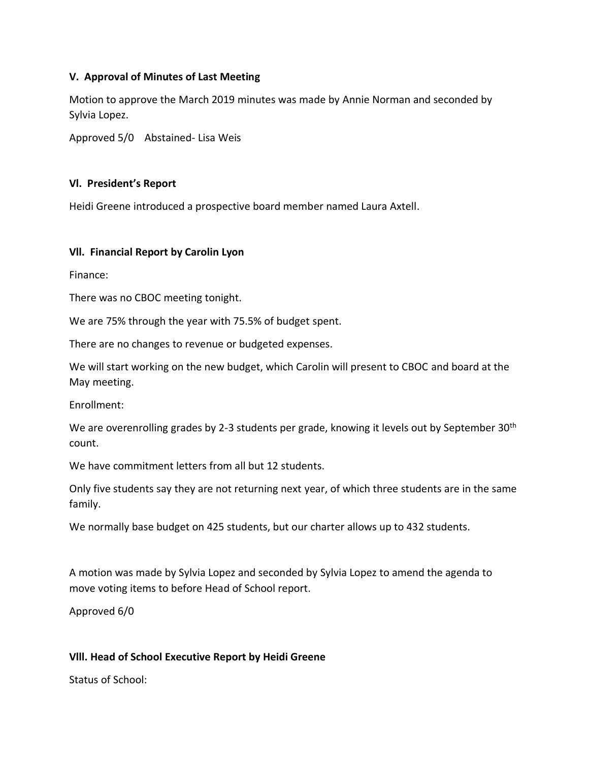### **V. Approval of Minutes of Last Meeting**

Motion to approve the March 2019 minutes was made by Annie Norman and seconded by Sylvia Lopez.

Approved 5/0 Abstained- Lisa Weis

### **Vl. President's Report**

Heidi Greene introduced a prospective board member named Laura Axtell.

### **Vll. Financial Report by Carolin Lyon**

Finance:

There was no CBOC meeting tonight.

We are 75% through the year with 75.5% of budget spent.

There are no changes to revenue or budgeted expenses.

We will start working on the new budget, which Carolin will present to CBOC and board at the May meeting.

Enrollment:

We are overenrolling grades by 2-3 students per grade, knowing it levels out by September 30<sup>th</sup> count.

We have commitment letters from all but 12 students.

Only five students say they are not returning next year, of which three students are in the same family.

We normally base budget on 425 students, but our charter allows up to 432 students.

A motion was made by Sylvia Lopez and seconded by Sylvia Lopez to amend the agenda to move voting items to before Head of School report.

Approved 6/0

# **Vlll. Head of School Executive Report by Heidi Greene**

Status of School: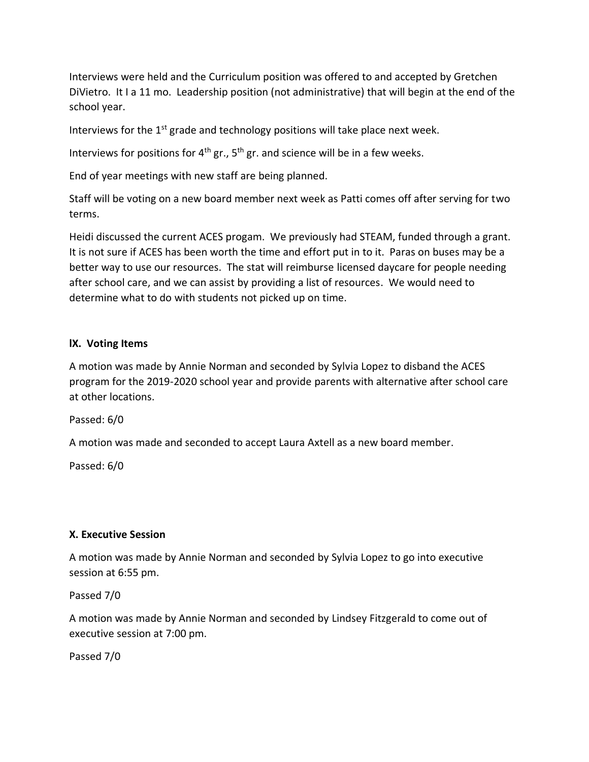Interviews were held and the Curriculum position was offered to and accepted by Gretchen DiVietro. It I a 11 mo. Leadership position (not administrative) that will begin at the end of the school year.

Interviews for the  $1<sup>st</sup>$  grade and technology positions will take place next week.

Interviews for positions for  $4<sup>th</sup>$  gr.,  $5<sup>th</sup>$  gr. and science will be in a few weeks.

End of year meetings with new staff are being planned.

Staff will be voting on a new board member next week as Patti comes off after serving for two terms.

Heidi discussed the current ACES progam. We previously had STEAM, funded through a grant. It is not sure if ACES has been worth the time and effort put in to it. Paras on buses may be a better way to use our resources. The stat will reimburse licensed daycare for people needing after school care, and we can assist by providing a list of resources. We would need to determine what to do with students not picked up on time.

# **lX. Voting Items**

A motion was made by Annie Norman and seconded by Sylvia Lopez to disband the ACES program for the 2019-2020 school year and provide parents with alternative after school care at other locations.

Passed: 6/0

A motion was made and seconded to accept Laura Axtell as a new board member.

Passed: 6/0

# **X. Executive Session**

A motion was made by Annie Norman and seconded by Sylvia Lopez to go into executive session at 6:55 pm.

Passed 7/0

A motion was made by Annie Norman and seconded by Lindsey Fitzgerald to come out of executive session at 7:00 pm.

Passed 7/0